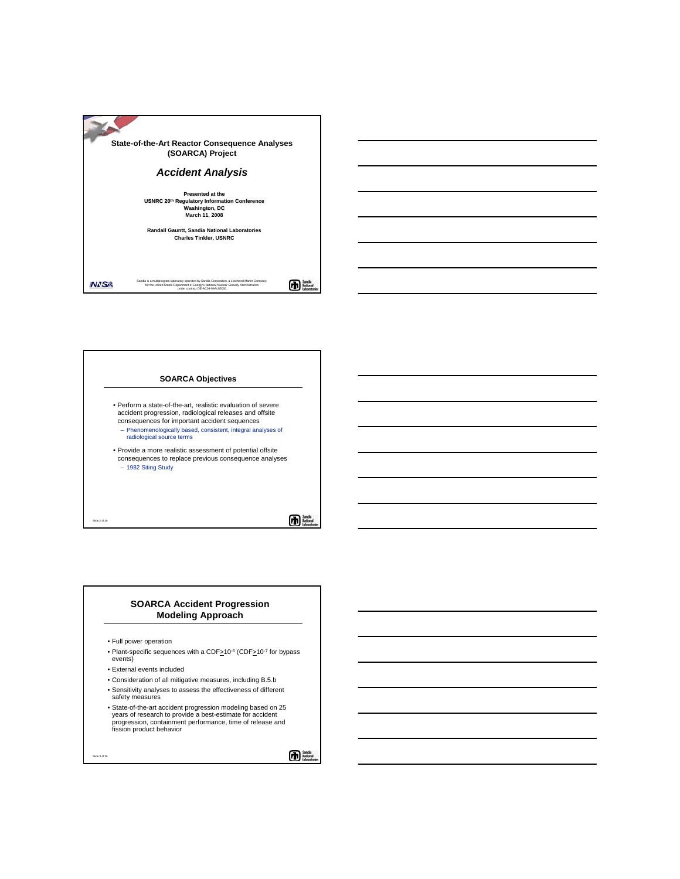

# **SOARCA Objectives** • Perform a state-of-the-art, realistic evaluation of severe accident progression, radiological releases and offsite consequences for important accident sequences – Phenomenologically based, consistent, integral analyses of radiological source terms • Provide a more realistic assessment of potential offsite consequences to replace previous consequence analyses – 1982 Siting Study

而體

### **SOARCA Accident Progression Modeling Approach**

• Full power operation

Slide 2 of 26

Slide 3 of 26

- Plant-specific sequences with a CDF>10<sup>-6</sup> (CDF>10<sup>-7</sup> for bypass events)
- External events included
- Consideration of all mitigative measures, including B.5.b
- Sensitivity analyses to assess the effectiveness of different safety measures
- State-of-the-art accident progression modeling based on 25 years of research to provide a best-estimate for accident progression, containment performance, time of release and fission product behavior

**The Sand**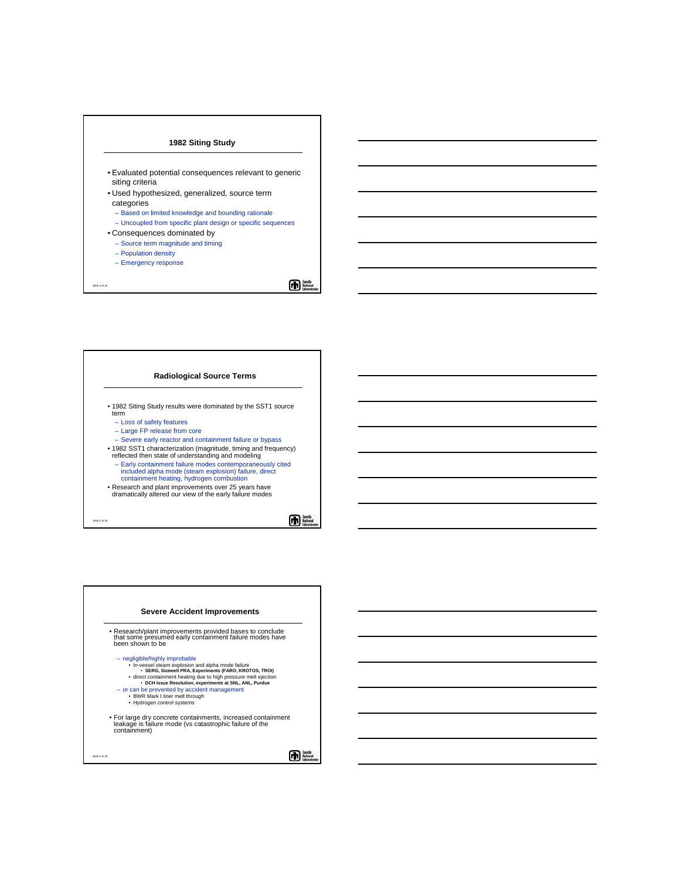### **1982 Siting Study**

- Evaluated potential consequences relevant to generic siting criteria
- Used hypothesized, generalized, source term categories
	- Based on limited knowledge and bounding rationale
	- Uncoupled from specific plant design or specific sequences
- Consequences dominated by
	- Source term magnitude and timing
	- Population density
	- Emergency response

Slide 4 of 26

角體

### **Radiological Source Terms**

- 1982 Siting Study results were dominated by the SST1 source term
	- Loss of safety features
	- Large FP release from core
	- Severe early reactor and containment failure or bypass
- 1982 SST1 characterization (magnitude, timing and frequency) reflected then state of understanding and modeling
- Early containment failure modes contemporaneously cited included alpha mode (steam explosion) failure, direct containment heating, hydrogen combustion
- Research and plant improvements over 25 years have dramatically altered our view of the early failure modes

Slide 5 of 26



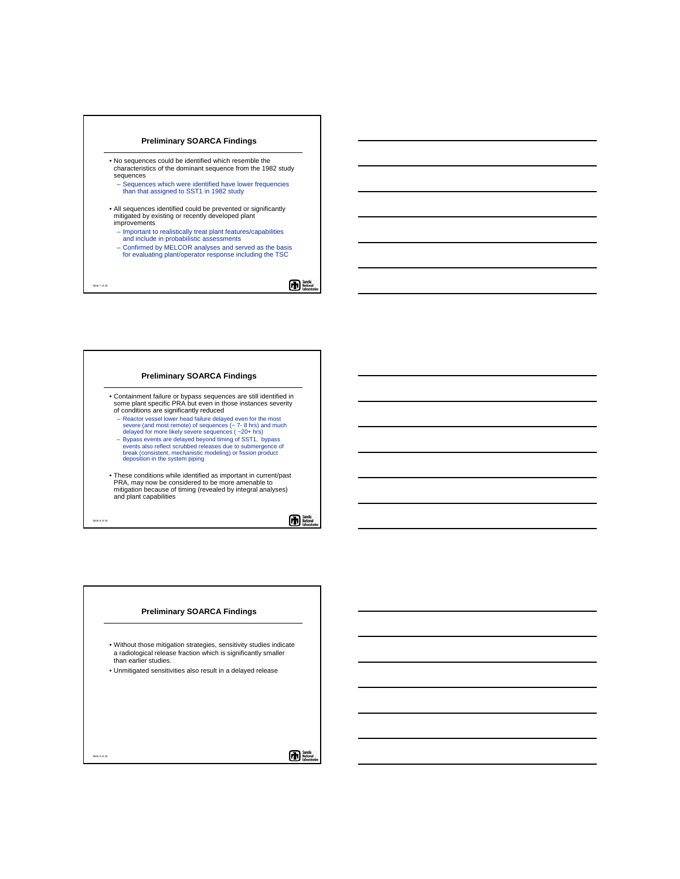### **Preliminary SOARCA Findings**

- No sequences could be identified which resemble the characteristics of the dominant sequence from the 1982 study sequences
	- Sequences which were identified have lower frequencies than that assigned to SST1 in 1982 study
- All sequences identified could be prevented or significantly mitigated by existing or recently developed plant improvements
- Important to realistically treat plant features/capabilities and include in probabilistic assessments
- Confirmed by MELCOR analyses and served as the basis for evaluating plant/operator response including the TSC

Slide 7 of 26

雨蟹

#### **Preliminary SOARCA Findings**

- Containment failure or bypass sequences are still identified in some plant specific PRA but even in those instances severity of conditions are significantly reduced
	- Reactor vessel lower head failure delayed even for the most severe (and most remote) of sequences (~ 7- 8 hrs) and much delayed for more likely severe sequences ( ~20+ hrs)
	- Bypass events are delayed beyond timing of SST1, bypass events also reflect scrubbed releases due to submergence of break (consistent, mechanistic modeling) or fission product deposition in the system piping
- These conditions while identified as important in current/past PRA, may now be considered to be more amenable to mitigation because of timing (revealed by integral analyses) and plant capabilities

Slide 8 of 26

Slide 9 of 26

## **The Sands**<br>Mation

### **Preliminary SOARCA Findings**

| . Without those mitigation strategies, sensitivity studies indicate |
|---------------------------------------------------------------------|
| a radiological release fraction which is significantly smaller      |
| than earlier studies.                                               |

• Unmitigated sensitivities also result in a delayed release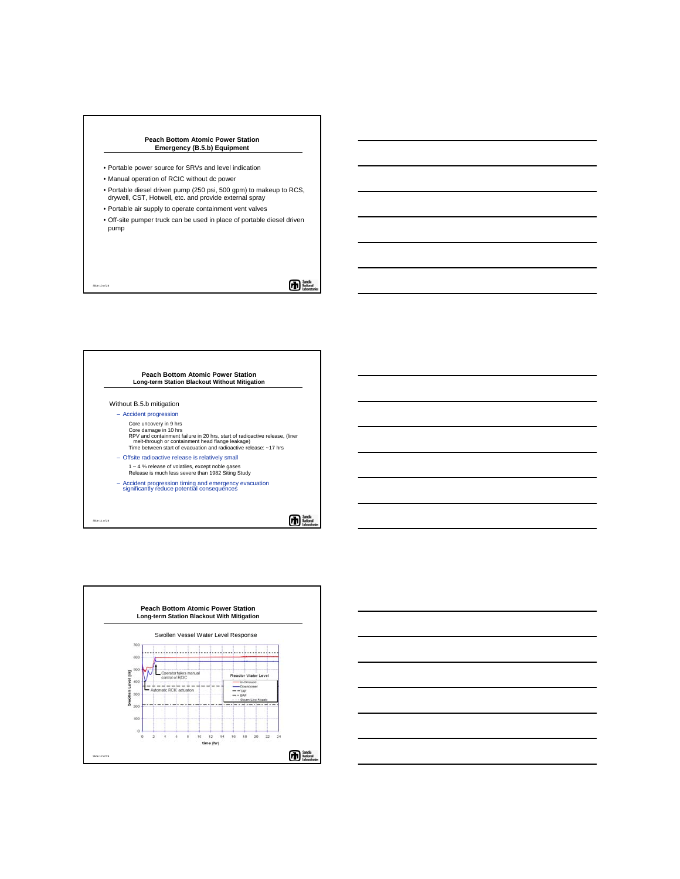#### **Peach Bottom Atomic Power Station Emergency (B.5.b) Equipment**

- Portable power source for SRVs and level indication
- Manual operation of RCIC without dc power

Slide 10 of 26

- Portable diesel driven pump (250 psi, 500 gpm) to makeup to RCS, drywell, CST, Hotwell, etc. and provide external spray
- Portable air supply to operate containment vent valves
- Off-site pumper truck can be used in place of portable diesel driven pump

 $\mathbf{\Phi}^*$ 

# **Peach Bottom Atomic Power Station Long-term Station Blackout Without Mitigation** Without B.5.b mitigation – Accident progression Core uncovery in 9 hrs Core damage in 10 hrs<br>RPV and containment failure in 20 hrs, start of radioactive release, (liner<br>- melt-through or containment head flange leakage)<br>Time between start of evacuation and radioactive release: ~17 hrs – Offsite radioactive release is relatively small 1 – 4 % release of volatiles, except noble gases Release is much less severe than 1982 Siting Study – Accident progression timing and emergency evacuation significantly reduce potential consequences Sanda<br>Nation Slide 11 of 26



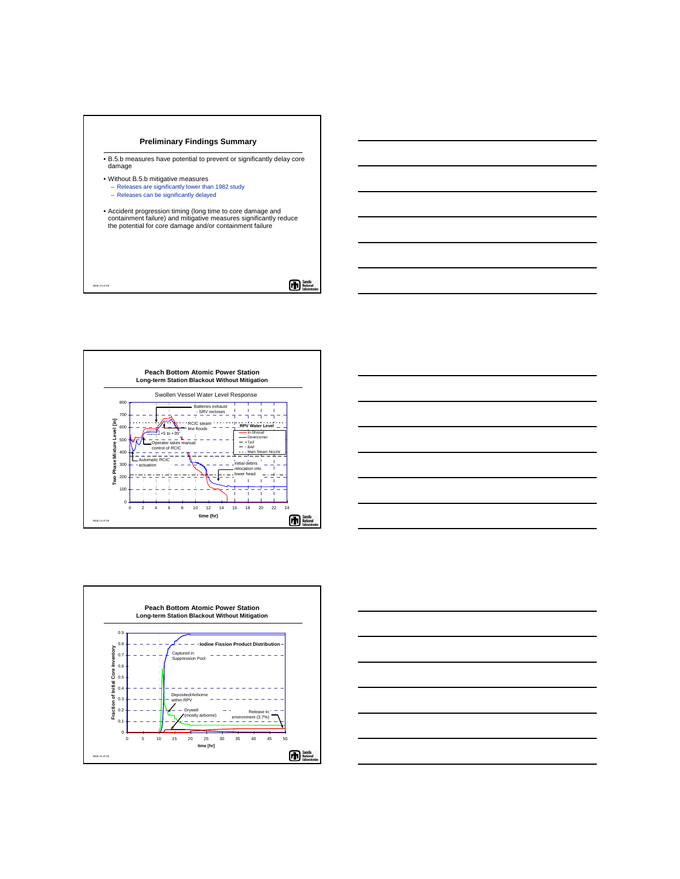

- B.5.b measures have potential to prevent or significantly delay core damage
- Without B.5.b mitigative measures

Slide 13 of 26

- Releases are significantly lower than 1982 study
- Releases can be significantly delayed
- Accident progression timing (long time to core damage and containment failure) and mitigative measures significantly reduce the potential for core damage and/or containment failure

 $\bm{\Phi}$ 







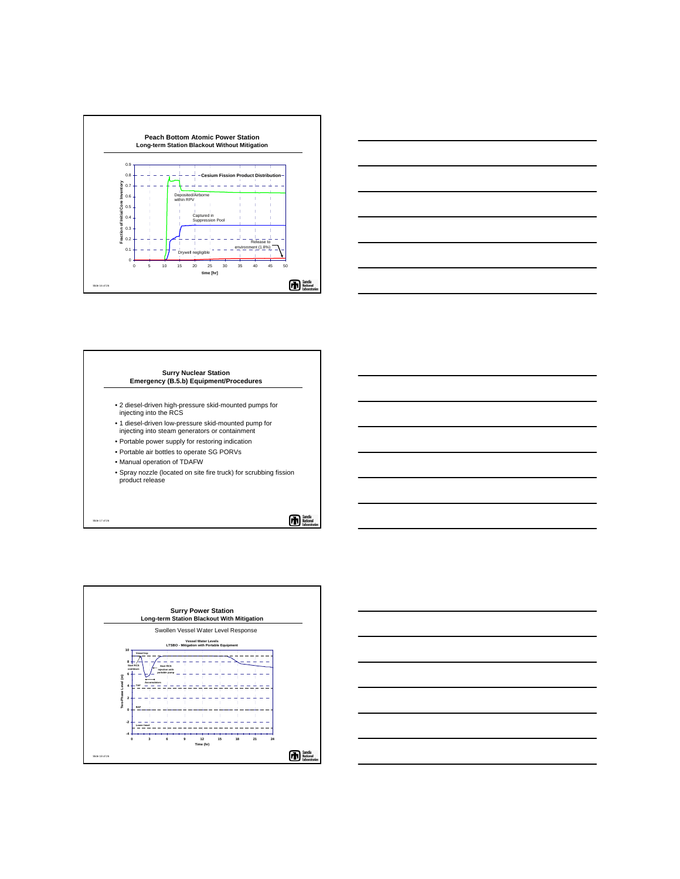



### **Surry Nuclear Station Emergency (B.5.b) Equipment/Procedures**

- 2 diesel-driven high-pressure skid-mounted pumps for injecting into the RCS
- 1 diesel-driven low-pressure skid-mounted pump for injecting into steam generators or containment
- Portable power supply for restoring indication
- Portable air bottles to operate SG PORVs
- Manual operation of TDAFW

Slide 17 of 26

• Spray nozzle (located on site fire truck) for scrubbing fission product release

Sandia<br>National<br>Indonesia



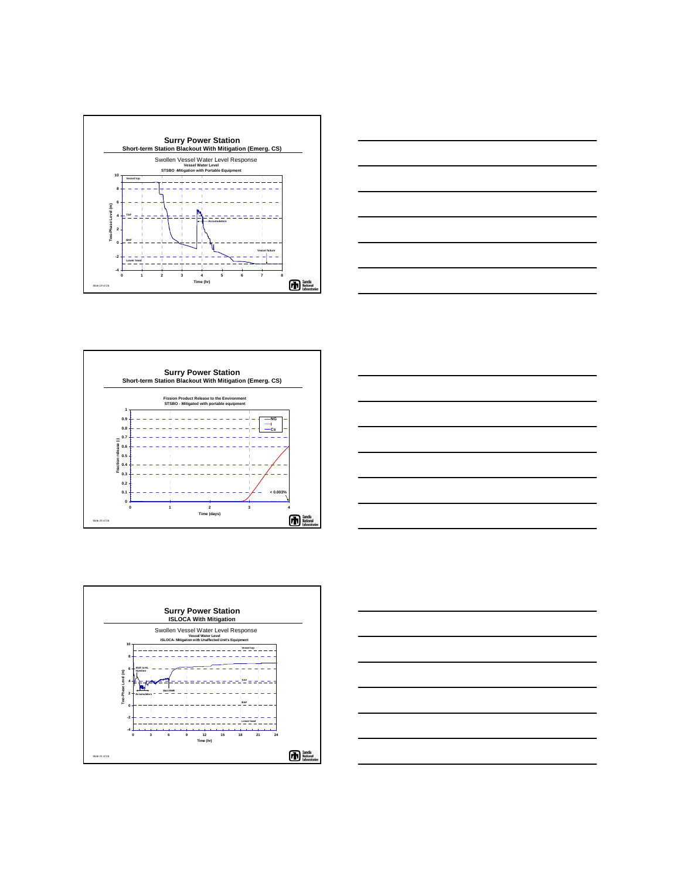









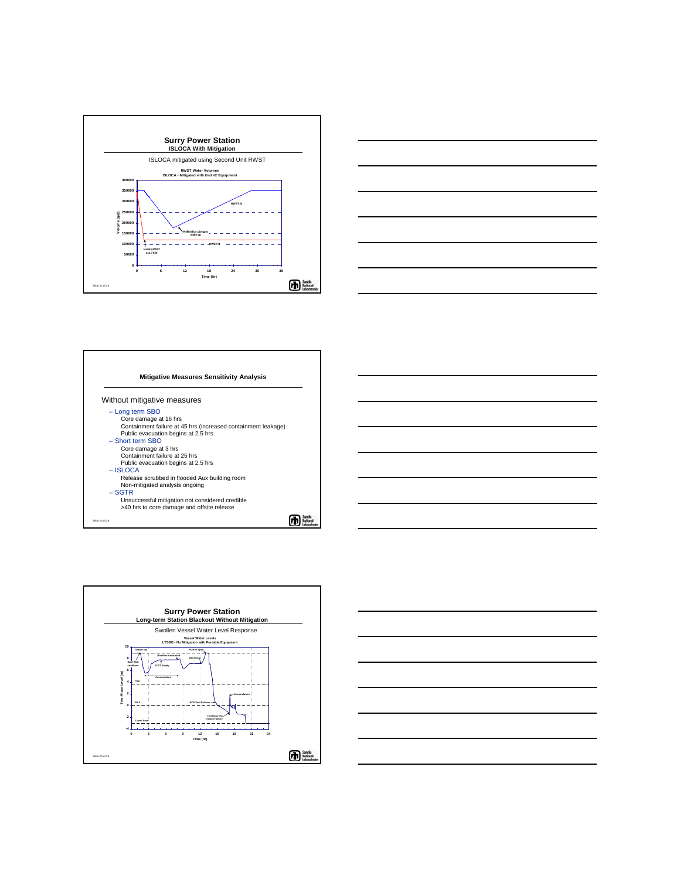







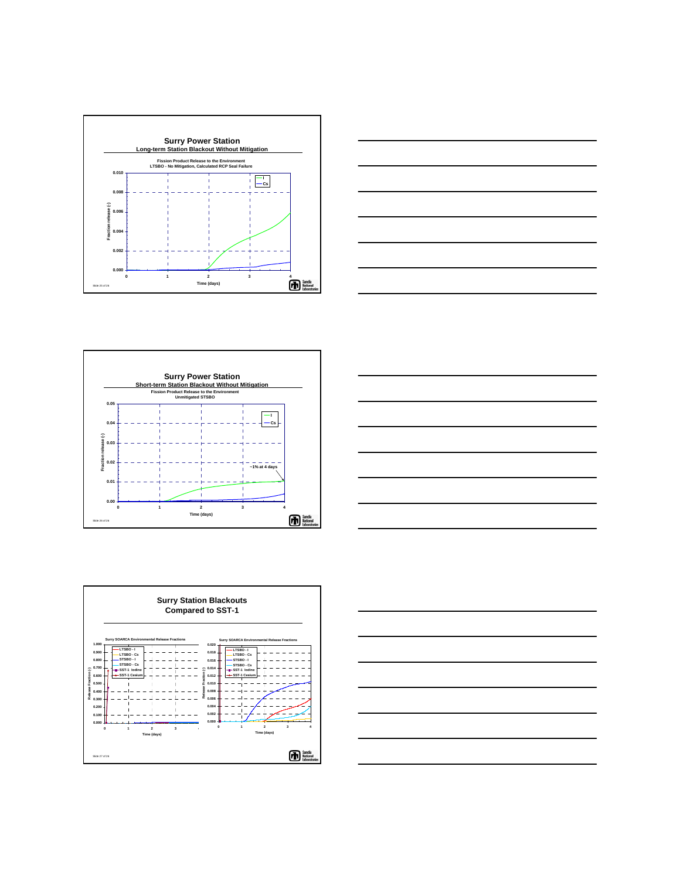



![](_page_8_Figure_2.jpeg)

![](_page_8_Figure_3.jpeg)

![](_page_8_Figure_4.jpeg)

![](_page_8_Figure_5.jpeg)